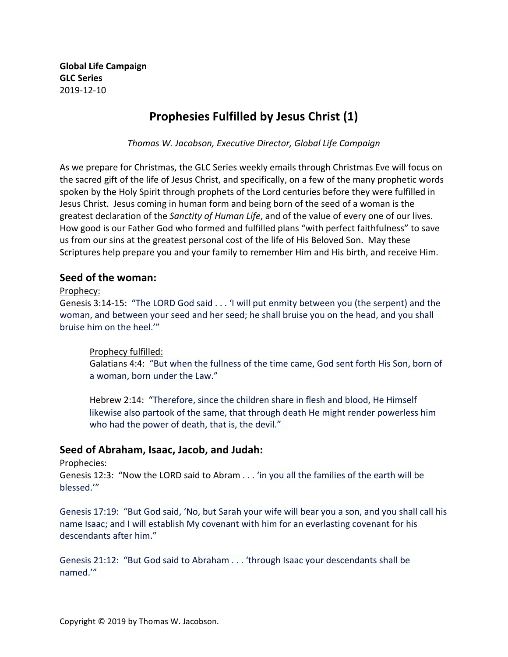**Global Life Campaign GLC Series** 2019-12-10

# **Prophesies Fulfilled by Jesus Christ (1)**

*Thomas W. Jacobson, Executive Director, Global Life Campaign*

As we prepare for Christmas, the GLC Series weekly emails through Christmas Eve will focus on the sacred gift of the life of Jesus Christ, and specifically, on a few of the many prophetic words spoken by the Holy Spirit through prophets of the Lord centuries before they were fulfilled in Jesus Christ. Jesus coming in human form and being born of the seed of a woman is the greatest declaration of the *Sanctity of Human Life*, and of the value of every one of our lives. How good is our Father God who formed and fulfilled plans "with perfect faithfulness" to save us from our sins at the greatest personal cost of the life of His Beloved Son. May these Scriptures help prepare you and your family to remember Him and His birth, and receive Him.

# **Seed of the woman:**

## Prophecy:

Genesis 3:14-15: "The LORD God said . . . 'I will put enmity between you (the serpent) and the woman, and between your seed and her seed; he shall bruise you on the head, and you shall bruise him on the heel.'"

## Prophecy fulfilled:

Galatians 4:4: "But when the fullness of the time came, God sent forth His Son, born of a woman, born under the Law."

Hebrew 2:14: "Therefore, since the children share in flesh and blood, He Himself likewise also partook of the same, that through death He might render powerless him who had the power of death, that is, the devil."

# Seed of Abraham, Isaac, Jacob, and Judah:

Prophecies: 

Genesis 12:3: "Now the LORD said to Abram . . . 'in you all the families of the earth will be blessed.'"

Genesis 17:19: "But God said, 'No, but Sarah your wife will bear you a son, and you shall call his name Isaac; and I will establish My covenant with him for an everlasting covenant for his descendants after him."

Genesis 21:12: "But God said to Abraham . . . 'through Isaac your descendants shall be named.'"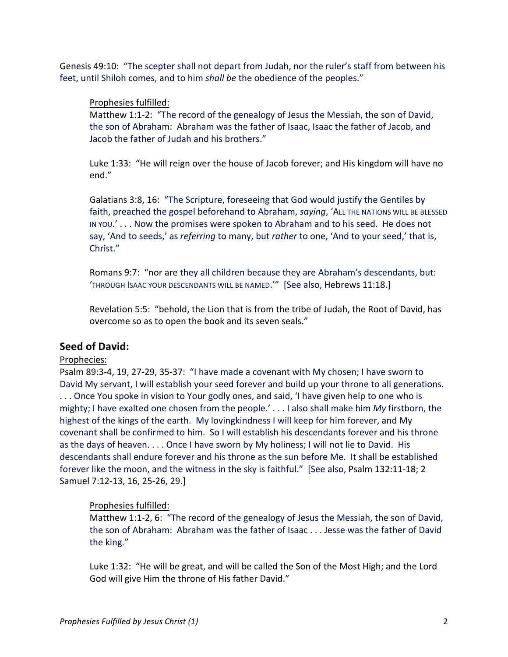Genesis 49:10: "The scepter shall not depart from Judah, nor the ruler's staff from between his feet, until Shiloh comes, and to him *shall be* the obedience of the peoples."

## Prophesies fulfilled:

Matthew 1:1-2: "The record of the genealogy of Jesus the Messiah, the son of David, the son of Abraham: Abraham was the father of Isaac, Isaac the father of Jacob, and Jacob the father of Judah and his brothers."

Luke 1:33: "He will reign over the house of Jacob forever; and His kingdom will have no end." 

Galatians 3:8, 16: "The Scripture, foreseeing that God would justify the Gentiles by faith, preached the gospel beforehand to Abraham, saying, 'ALL THE NATIONS WILL BE BLESSED IN YOU.' . . . Now the promises were spoken to Abraham and to his seed. He does not say, 'And to seeds,' as *referring* to many, but *rather* to one, 'And to your seed,' that is, Christ."

Romans 9:7: "nor are they all children because they are Abraham's descendants, but: 'THROUGH ISAAC YOUR DESCENDANTS WILL BE NAMED.'" [See also, Hebrews 11:18.]

Revelation 5:5: "behold, the Lion that is from the tribe of Judah, the Root of David, has overcome so as to open the book and its seven seals."

# **Seed of David:**

#### Prophecies:

Psalm 89:3-4, 19, 27-29, 35-37: "I have made a covenant with My chosen; I have sworn to David My servant, I will establish your seed forever and build up your throne to all generations. ... Once You spoke in vision to Your godly ones, and said, 'I have given help to one who is mighty; I have exalted one chosen from the people.' . . . I also shall make him *My* firstborn, the highest of the kings of the earth. My lovingkindness I will keep for him forever, and My covenant shall be confirmed to him. So I will establish his descendants forever and his throne as the days of heaven. . . . Once I have sworn by My holiness; I will not lie to David. His descendants shall endure forever and his throne as the sun before Me. It shall be established forever like the moon, and the witness in the sky is faithful." [See also, Psalm 132:11-18; 2 Samuel 7:12-13, 16, 25-26, 29.]

## Prophesies fulfilled:

Matthew 1:1-2, 6: "The record of the genealogy of Jesus the Messiah, the son of David, the son of Abraham: Abraham was the father of Isaac . . . Jesse was the father of David the king."

Luke 1:32: "He will be great, and will be called the Son of the Most High; and the Lord God will give Him the throne of His father David."